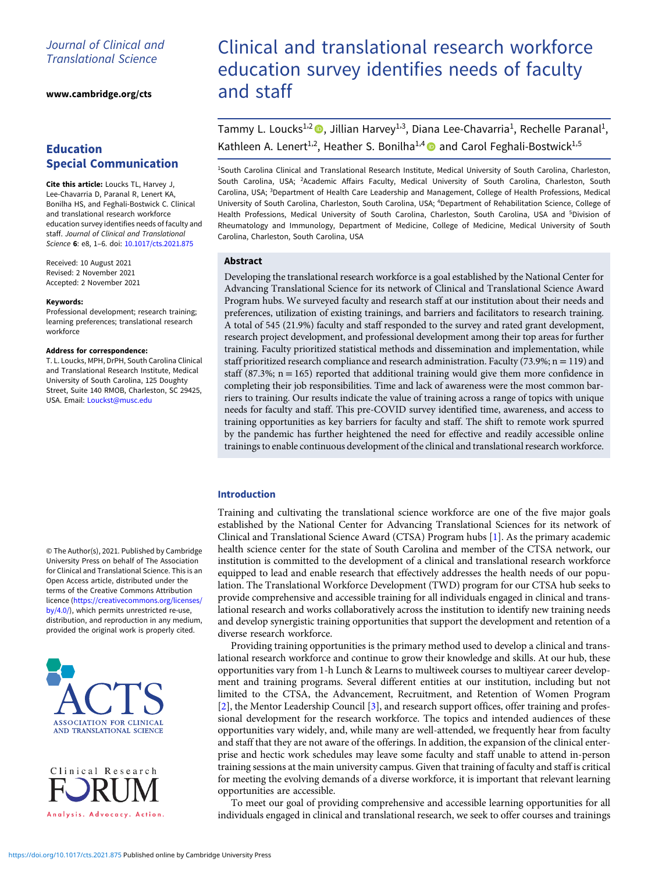# Journal of Clinical and Translational Science

[www.cambridge.org/cts](https://www.cambridge.org/cts)

# Education Special Communication

Cite this article: Loucks TL, Harvey J, Lee-Chavarria D, Paranal R, Lenert KA, Bonilha HS, and Feghali-Bostwick C. Clinical and translational research workforce education survey identifies needs of faculty and staff. Journal of Clinical and Translational Science 6: e8, 1–6. doi: [10.1017/cts.2021.875](https://doi.org/10.1017/cts.2021.875)

Received: 10 August 2021 Revised: 2 November 2021 Accepted: 2 November 2021

#### Keywords:

Professional development; research training; learning preferences; translational research workforce

#### Address for correspondence:

T. L. Loucks, MPH, DrPH, South Carolina Clinical and Translational Research Institute, Medical University of South Carolina, 125 Doughty Street, Suite 140 RMOB, Charleston, SC 29425, USA. Email: [Louckst@musc.edu](mailto:Louckst@musc.edu)

© The Author(s), 2021. Published by Cambridge University Press on behalf of The Association for Clinical and Translational Science. This is an Open Access article, distributed under the terms of the Creative Commons Attribution licence ([https://creativecommons.org/licenses/](https://creativecommons.org/licenses/by/4.0/) [by/4.0/](https://creativecommons.org/licenses/by/4.0/)), which permits unrestricted re-use, distribution, and reproduction in any medium, provided the original work is properly cited.





# Clinical and translational research workforce education survey identifies needs of faculty and staff

Tammy L. Loucks<sup>1,2</sup> (D. Jillian Harvey<sup>1,3</sup>, Diana Lee-Chavarria<sup>1</sup>, Rechelle Paranal<sup>1</sup>, Kathleen A. Lenert<sup>1,2</sup>, Heather S. Bonilha<sup>1,4</sup> and Carol Feghali-Bostwick<sup>1,5</sup>

1 South Carolina Clinical and Translational Research Institute, Medical University of South Carolina, Charleston, South Carolina, USA; <sup>2</sup>Academic Affairs Faculty, Medical University of South Carolina, Charleston, South Carolina, USA; <sup>3</sup>Department of Health Care Leadership and Management, College of Health Professions, Medical University of South Carolina, Charleston, South Carolina, USA; <sup>4</sup> Department of Rehabilitation Science, College of Health Professions, Medical University of South Carolina, Charleston, South Carolina, USA and <sup>5</sup>Division of Rheumatology and Immunology, Department of Medicine, College of Medicine, Medical University of South Carolina, Charleston, South Carolina, USA

## Abstract

Developing the translational research workforce is a goal established by the National Center for Advancing Translational Science for its network of Clinical and Translational Science Award Program hubs. We surveyed faculty and research staff at our institution about their needs and preferences, utilization of existing trainings, and barriers and facilitators to research training. A total of 545 (21.9%) faculty and staff responded to the survey and rated grant development, research project development, and professional development among their top areas for further training. Faculty prioritized statistical methods and dissemination and implementation, while staff prioritized research compliance and research administration. Faculty (73.9%;  $n = 119$ ) and staff (87.3%;  $n = 165$ ) reported that additional training would give them more confidence in completing their job responsibilities. Time and lack of awareness were the most common barriers to training. Our results indicate the value of training across a range of topics with unique needs for faculty and staff. This pre-COVID survey identified time, awareness, and access to training opportunities as key barriers for faculty and staff. The shift to remote work spurred by the pandemic has further heightened the need for effective and readily accessible online trainings to enable continuous development of the clinical and translational research workforce.

## Introduction

Training and cultivating the translational science workforce are one of the five major goals established by the National Center for Advancing Translational Sciences for its network of Clinical and Translational Science Award (CTSA) Program hubs [\[1\]](#page-5-0). As the primary academic health science center for the state of South Carolina and member of the CTSA network, our institution is committed to the development of a clinical and translational research workforce equipped to lead and enable research that effectively addresses the health needs of our population. The Translational Workforce Development (TWD) program for our CTSA hub seeks to provide comprehensive and accessible training for all individuals engaged in clinical and translational research and works collaboratively across the institution to identify new training needs and develop synergistic training opportunities that support the development and retention of a diverse research workforce.

Providing training opportunities is the primary method used to develop a clinical and translational research workforce and continue to grow their knowledge and skills. At our hub, these opportunities vary from 1-h Lunch & Learns to multiweek courses to multiyear career development and training programs. Several different entities at our institution, including but not limited to the CTSA, the Advancement, Recruitment, and Retention of Women Program [\[2\]](#page-5-0), the Mentor Leadership Council [\[3\]](#page-5-0), and research support offices, offer training and professional development for the research workforce. The topics and intended audiences of these opportunities vary widely, and, while many are well-attended, we frequently hear from faculty and staff that they are not aware of the offerings. In addition, the expansion of the clinical enterprise and hectic work schedules may leave some faculty and staff unable to attend in-person training sessions at the main university campus. Given that training of faculty and staff is critical for meeting the evolving demands of a diverse workforce, it is important that relevant learning opportunities are accessible.

To meet our goal of providing comprehensive and accessible learning opportunities for all individuals engaged in clinical and translational research, we seek to offer courses and trainings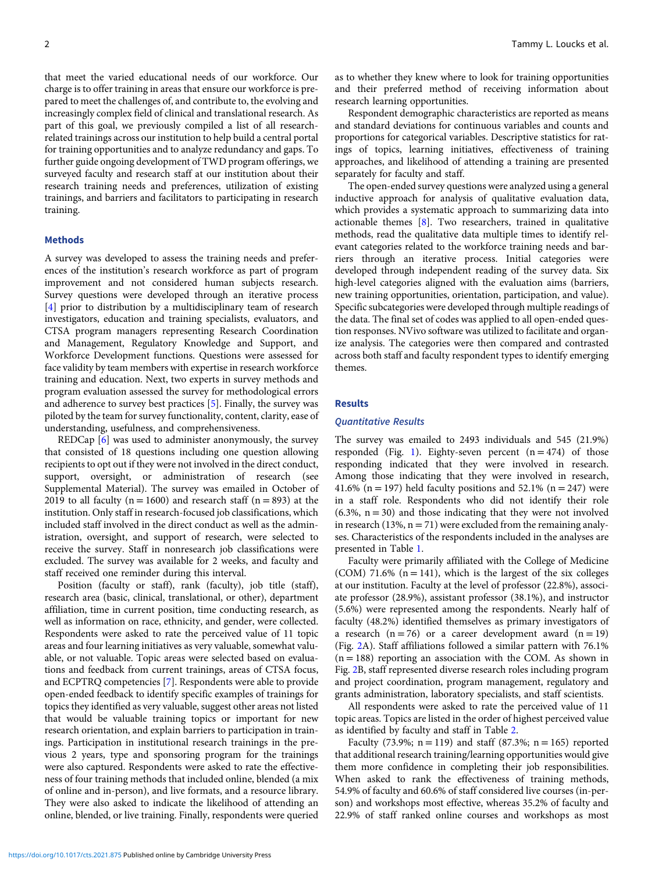that meet the varied educational needs of our workforce. Our charge is to offer training in areas that ensure our workforce is prepared to meet the challenges of, and contribute to, the evolving and increasingly complex field of clinical and translational research. As part of this goal, we previously compiled a list of all researchrelated trainings across our institution to help build a central portal for training opportunities and to analyze redundancy and gaps. To further guide ongoing development of TWD program offerings, we surveyed faculty and research staff at our institution about their research training needs and preferences, utilization of existing trainings, and barriers and facilitators to participating in research training.

#### **Methods**

A survey was developed to assess the training needs and preferences of the institution's research workforce as part of program improvement and not considered human subjects research. Survey questions were developed through an iterative process [[4](#page-5-0)] prior to distribution by a multidisciplinary team of research investigators, education and training specialists, evaluators, and CTSA program managers representing Research Coordination and Management, Regulatory Knowledge and Support, and Workforce Development functions. Questions were assessed for face validity by team members with expertise in research workforce training and education. Next, two experts in survey methods and program evaluation assessed the survey for methodological errors and adherence to survey best practices [[5](#page-5-0)]. Finally, the survey was piloted by the team for survey functionality, content, clarity, ease of understanding, usefulness, and comprehensiveness.

REDCap [\[6\]](#page-5-0) was used to administer anonymously, the survey that consisted of 18 questions including one question allowing recipients to opt out if they were not involved in the direct conduct, support, oversight, or administration of research (see Supplemental Material). The survey was emailed in October of 2019 to all faculty ( $n = 1600$ ) and research staff ( $n = 893$ ) at the institution. Only staff in research-focused job classifications, which included staff involved in the direct conduct as well as the administration, oversight, and support of research, were selected to receive the survey. Staff in nonresearch job classifications were excluded. The survey was available for 2 weeks, and faculty and staff received one reminder during this interval.

Position (faculty or staff), rank (faculty), job title (staff), research area (basic, clinical, translational, or other), department affiliation, time in current position, time conducting research, as well as information on race, ethnicity, and gender, were collected. Respondents were asked to rate the perceived value of 11 topic areas and four learning initiatives as very valuable, somewhat valuable, or not valuable. Topic areas were selected based on evaluations and feedback from current trainings, areas of CTSA focus, and ECPTRQ competencies [\[7\]](#page-5-0). Respondents were able to provide open-ended feedback to identify specific examples of trainings for topics they identified as very valuable, suggest other areas not listed that would be valuable training topics or important for new research orientation, and explain barriers to participation in trainings. Participation in institutional research trainings in the previous 2 years, type and sponsoring program for the trainings were also captured. Respondents were asked to rate the effectiveness of four training methods that included online, blended (a mix of online and in-person), and live formats, and a resource library. They were also asked to indicate the likelihood of attending an online, blended, or live training. Finally, respondents were queried

as to whether they knew where to look for training opportunities and their preferred method of receiving information about research learning opportunities.

Respondent demographic characteristics are reported as means and standard deviations for continuous variables and counts and proportions for categorical variables. Descriptive statistics for ratings of topics, learning initiatives, effectiveness of training approaches, and likelihood of attending a training are presented separately for faculty and staff.

The open-ended survey questions were analyzed using a general inductive approach for analysis of qualitative evaluation data, which provides a systematic approach to summarizing data into actionable themes [\[8\]](#page-5-0). Two researchers, trained in qualitative methods, read the qualitative data multiple times to identify relevant categories related to the workforce training needs and barriers through an iterative process. Initial categories were developed through independent reading of the survey data. Six high-level categories aligned with the evaluation aims (barriers, new training opportunities, orientation, participation, and value). Specific subcategories were developed through multiple readings of the data. The final set of codes was applied to all open-ended question responses. NVivo software was utilized to facilitate and organize analysis. The categories were then compared and contrasted across both staff and faculty respondent types to identify emerging themes.

#### **Results**

#### Quantitative Results

The survey was emailed to 2493 individuals and 545 (21.9%) responded (Fig. [1\)](#page-2-0). Eighty-seven percent  $(n = 474)$  of those responding indicated that they were involved in research. Among those indicating that they were involved in research, 41.6% (n = 197) held faculty positions and 52.1% (n = 247) were in a staff role. Respondents who did not identify their role  $(6.3\%, n = 30)$  and those indicating that they were not involved in research (13%,  $n = 71$ ) were excluded from the remaining analyses. Characteristics of the respondents included in the analyses are presented in Table [1](#page-2-0).

Faculty were primarily affiliated with the College of Medicine (COM) 71.6% ( $n = 141$ ), which is the largest of the six colleges at our institution. Faculty at the level of professor (22.8%), associate professor (28.9%), assistant professor (38.1%), and instructor (5.6%) were represented among the respondents. Nearly half of faculty (48.2%) identified themselves as primary investigators of a research  $(n = 76)$  or a career development award  $(n = 19)$ (Fig. [2](#page-3-0)A). Staff affiliations followed a similar pattern with 76.1%  $(n = 188)$  reporting an association with the COM. As shown in Fig. [2](#page-3-0)B, staff represented diverse research roles including program and project coordination, program management, regulatory and grants administration, laboratory specialists, and staff scientists.

All respondents were asked to rate the perceived value of 11 topic areas. Topics are listed in the order of highest perceived value as identified by faculty and staff in Table [2](#page-4-0).

Faculty (73.9%;  $n = 119$ ) and staff (87.3%;  $n = 165$ ) reported that additional research training/learning opportunities would give them more confidence in completing their job responsibilities. When asked to rank the effectiveness of training methods, 54.9% of faculty and 60.6% of staff considered live courses (in-person) and workshops most effective, whereas 35.2% of faculty and 22.9% of staff ranked online courses and workshops as most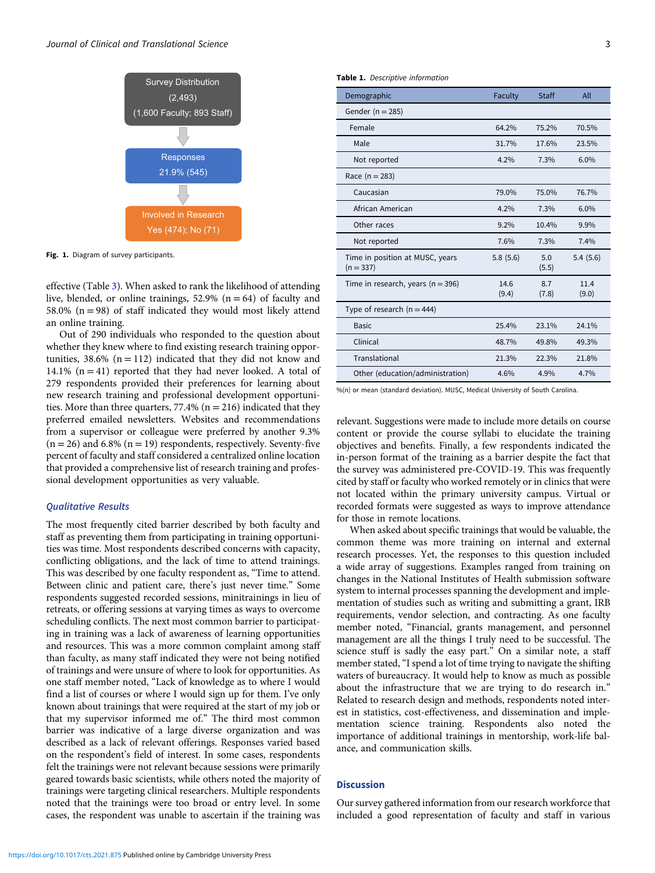<span id="page-2-0"></span>

Fig. 1. Diagram of survey participants.

effective (Table [3](#page-4-0)). When asked to rank the likelihood of attending live, blended, or online trainings,  $52.9\%$  (n = 64) of faculty and 58.0% ( $n = 98$ ) of staff indicated they would most likely attend an online training.

Out of 290 individuals who responded to the question about whether they knew where to find existing research training opportunities,  $38.6\%$  (n = 112) indicated that they did not know and 14.1%  $(n = 41)$  reported that they had never looked. A total of 279 respondents provided their preferences for learning about new research training and professional development opportunities. More than three quarters,  $77.4\%$  ( $n = 216$ ) indicated that they preferred emailed newsletters. Websites and recommendations from a supervisor or colleague were preferred by another 9.3%  $(n = 26)$  and 6.8%  $(n = 19)$  respondents, respectively. Seventy-five percent of faculty and staff considered a centralized online location that provided a comprehensive list of research training and professional development opportunities as very valuable.

#### Qualitative Results

The most frequently cited barrier described by both faculty and staff as preventing them from participating in training opportunities was time. Most respondents described concerns with capacity, conflicting obligations, and the lack of time to attend trainings. This was described by one faculty respondent as, "Time to attend. Between clinic and patient care, there's just never time." Some respondents suggested recorded sessions, minitrainings in lieu of retreats, or offering sessions at varying times as ways to overcome scheduling conflicts. The next most common barrier to participating in training was a lack of awareness of learning opportunities and resources. This was a more common complaint among staff than faculty, as many staff indicated they were not being notified of trainings and were unsure of where to look for opportunities. As one staff member noted, "Lack of knowledge as to where I would find a list of courses or where I would sign up for them. I've only known about trainings that were required at the start of my job or that my supervisor informed me of." The third most common barrier was indicative of a large diverse organization and was described as a lack of relevant offerings. Responses varied based on the respondent's field of interest. In some cases, respondents felt the trainings were not relevant because sessions were primarily geared towards basic scientists, while others noted the majority of trainings were targeting clinical researchers. Multiple respondents noted that the trainings were too broad or entry level. In some cases, the respondent was unable to ascertain if the training was

|  | Table 1. Descriptive information |  |
|--|----------------------------------|--|
|--|----------------------------------|--|

| Demographic                                    | Faculty       | Staff        | All           |
|------------------------------------------------|---------------|--------------|---------------|
| Gender ( $n = 285$ )                           |               |              |               |
| Female                                         | 64.2%         | 75.2%        | 70.5%         |
| Male                                           | 31.7%         | 17.6%        | 23.5%         |
| Not reported                                   | 4.2%          | 7.3%         | 6.0%          |
| Race $(n = 283)$                               |               |              |               |
| Caucasian                                      | 79.0%         | 75.0%        | 76.7%         |
| African American                               | 4.2%          | 7.3%         | 6.0%          |
| Other races                                    | $9.2\%$       | 10.4%        | 9.9%          |
| Not reported                                   | 7.6%          | 7.3%         | 7.4%          |
| Time in position at MUSC, years<br>$(n = 337)$ | 5.8(5.6)      | 5.0<br>(5.5) | 5.4(5.6)      |
| Time in research, years ( $n = 396$ )          | 14.6<br>(9.4) | 8.7<br>(7.8) | 11.4<br>(9.0) |
| Type of research $(n = 444)$                   |               |              |               |
| <b>Basic</b>                                   | 25.4%         | 23.1%        | 24.1%         |
| Clinical                                       | 48.7%         | 49.8%        | 49.3%         |
| Translational                                  | 21.3%         | 22.3%        | 21.8%         |
| Other (education/administration)               | 4.6%          | 4.9%         | 4.7%          |

%(n) or mean (standard deviation). MUSC, Medical University of South Carolina.

relevant. Suggestions were made to include more details on course content or provide the course syllabi to elucidate the training objectives and benefits. Finally, a few respondents indicated the in-person format of the training as a barrier despite the fact that the survey was administered pre-COVID-19. This was frequently cited by staff or faculty who worked remotely or in clinics that were not located within the primary university campus. Virtual or recorded formats were suggested as ways to improve attendance for those in remote locations.

When asked about specific trainings that would be valuable, the common theme was more training on internal and external research processes. Yet, the responses to this question included a wide array of suggestions. Examples ranged from training on changes in the National Institutes of Health submission software system to internal processes spanning the development and implementation of studies such as writing and submitting a grant, IRB requirements, vendor selection, and contracting. As one faculty member noted, "Financial, grants management, and personnel management are all the things I truly need to be successful. The science stuff is sadly the easy part." On a similar note, a staff member stated, "I spend a lot of time trying to navigate the shifting waters of bureaucracy. It would help to know as much as possible about the infrastructure that we are trying to do research in." Related to research design and methods, respondents noted interest in statistics, cost-effectiveness, and dissemination and implementation science training. Respondents also noted the importance of additional trainings in mentorship, work-life balance, and communication skills.

#### **Discussion**

Our survey gathered information from our research workforce that included a good representation of faculty and staff in various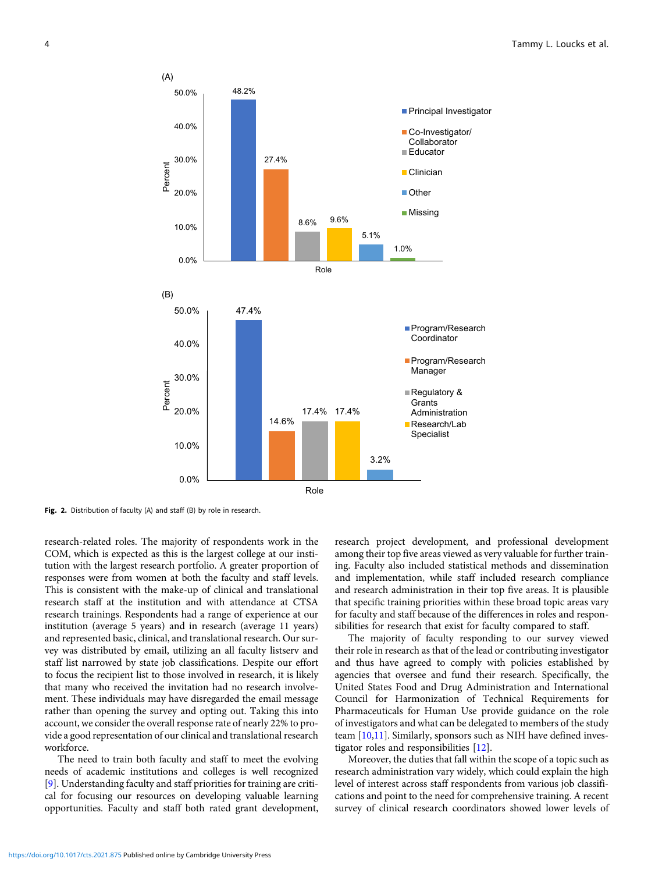<span id="page-3-0"></span>

Fig. 2. Distribution of faculty (A) and staff (B) by role in research.

research-related roles. The majority of respondents work in the COM, which is expected as this is the largest college at our institution with the largest research portfolio. A greater proportion of responses were from women at both the faculty and staff levels. This is consistent with the make-up of clinical and translational research staff at the institution and with attendance at CTSA research trainings. Respondents had a range of experience at our institution (average 5 years) and in research (average 11 years) and represented basic, clinical, and translational research. Our survey was distributed by email, utilizing an all faculty listserv and staff list narrowed by state job classifications. Despite our effort to focus the recipient list to those involved in research, it is likely that many who received the invitation had no research involvement. These individuals may have disregarded the email message rather than opening the survey and opting out. Taking this into account, we consider the overall response rate of nearly 22% to provide a good representation of our clinical and translational research workforce.

The need to train both faculty and staff to meet the evolving needs of academic institutions and colleges is well recognized [[9](#page-5-0)]. Understanding faculty and staff priorities for training are critical for focusing our resources on developing valuable learning opportunities. Faculty and staff both rated grant development, research project development, and professional development among their top five areas viewed as very valuable for further training. Faculty also included statistical methods and dissemination and implementation, while staff included research compliance and research administration in their top five areas. It is plausible that specific training priorities within these broad topic areas vary for faculty and staff because of the differences in roles and responsibilities for research that exist for faculty compared to staff.

The majority of faculty responding to our survey viewed their role in research as that of the lead or contributing investigator and thus have agreed to comply with policies established by agencies that oversee and fund their research. Specifically, the United States Food and Drug Administration and International Council for Harmonization of Technical Requirements for Pharmaceuticals for Human Use provide guidance on the role of investigators and what can be delegated to members of the study team [[10,11](#page-5-0)]. Similarly, sponsors such as NIH have defined investigator roles and responsibilities [\[12](#page-5-0)].

Moreover, the duties that fall within the scope of a topic such as research administration vary widely, which could explain the high level of interest across staff respondents from various job classifications and point to the need for comprehensive training. A recent survey of clinical research coordinators showed lower levels of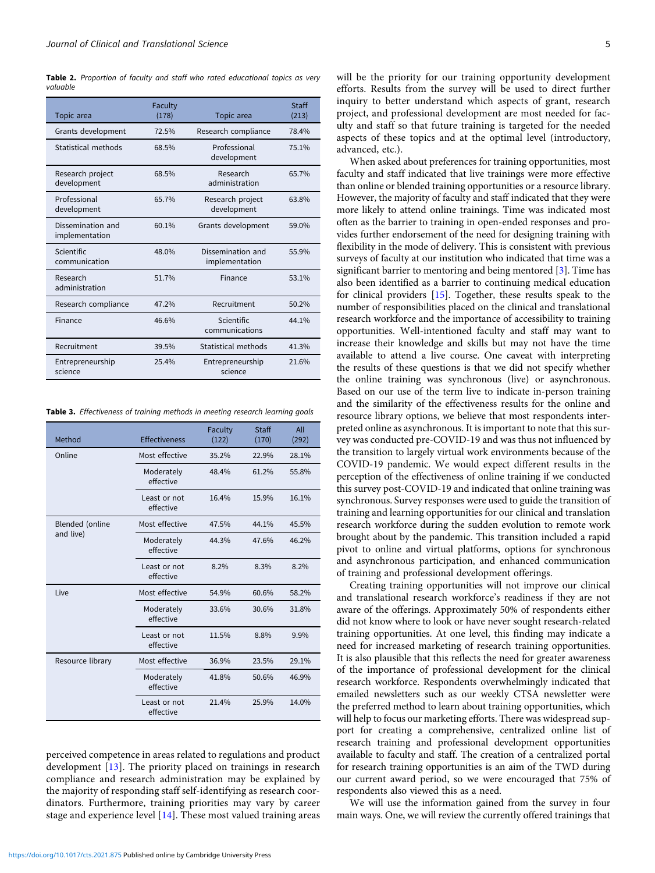<span id="page-4-0"></span>Table 2. Proportion of faculty and staff who rated educational topics as very valuable

| Topic area                          | Faculty<br>(178) | Topic area                          | Staff<br>(213) |
|-------------------------------------|------------------|-------------------------------------|----------------|
| Grants development                  | 72.5%            | Research compliance                 | 78.4%          |
| Statistical methods                 | 68.5%            | Professional<br>development         | 75.1%          |
| Research project<br>development     | 68.5%            | Research<br>administration          | 65.7%          |
| Professional<br>development         | 65.7%            | Research project<br>development     | 63.8%          |
| Dissemination and<br>implementation | 60.1%            | Grants development                  | 59.0%          |
| Scientific<br>communication         | 48.0%            | Dissemination and<br>implementation | 55.9%          |
| Research<br>administration          | 51.7%            | Finance                             | 53.1%          |
| Research compliance                 | 47.2%            | Recruitment                         | 50.2%          |
| Finance                             | 46.6%            | Scientific<br>communications        | 44.1%          |
| Recruitment                         | 39.5%            | Statistical methods                 | 41.3%          |
| Entrepreneurship<br>science         | 25.4%            | Entrepreneurship<br>science         | 21.6%          |

Table 3. Effectiveness of training methods in meeting research learning goals

| Method                       | Effectiveness             | Faculty<br>(122) | Staff<br>(170) | All<br>(292) |
|------------------------------|---------------------------|------------------|----------------|--------------|
| Online                       | Most effective            | 35.2%            | 22.9%          | 28.1%        |
|                              | Moderately<br>effective   | 48.4%            | 61.2%          | 55.8%        |
|                              | Least or not<br>effective | 16.4%            | 15.9%          | 16.1%        |
| Blended (online<br>and live) | Most effective            | 47.5%            | 44.1%          | 45.5%        |
|                              | Moderately<br>effective   | 44.3%            | 47.6%          | 46.2%        |
|                              | Least or not<br>effective | 8.2%             | 8.3%           | 8.2%         |
| Live                         | Most effective            | 54.9%            | 60.6%          | 58.2%        |
|                              | Moderately<br>effective   | 33.6%            | 30.6%          | 31.8%        |
|                              | Least or not<br>effective | 11.5%            | 8.8%           | 9.9%         |
| Resource library             | Most effective            | 36.9%            | 23.5%          | 29.1%        |
|                              | Moderately<br>effective   | 41.8%            | 50.6%          | 46.9%        |
|                              | Least or not<br>effective | 21.4%            | 25.9%          | 14.0%        |

perceived competence in areas related to regulations and product development [[13](#page-5-0)]. The priority placed on trainings in research compliance and research administration may be explained by the majority of responding staff self-identifying as research coordinators. Furthermore, training priorities may vary by career stage and experience level [[14](#page-5-0)]. These most valued training areas

will be the priority for our training opportunity development efforts. Results from the survey will be used to direct further inquiry to better understand which aspects of grant, research project, and professional development are most needed for faculty and staff so that future training is targeted for the needed aspects of these topics and at the optimal level (introductory, advanced, etc.).

When asked about preferences for training opportunities, most faculty and staff indicated that live trainings were more effective than online or blended training opportunities or a resource library. However, the majority of faculty and staff indicated that they were more likely to attend online trainings. Time was indicated most often as the barrier to training in open-ended responses and provides further endorsement of the need for designing training with flexibility in the mode of delivery. This is consistent with previous surveys of faculty at our institution who indicated that time was a significant barrier to mentoring and being mentored [\[3\]](#page-5-0). Time has also been identified as a barrier to continuing medical education for clinical providers [\[15](#page-5-0)]. Together, these results speak to the number of responsibilities placed on the clinical and translational research workforce and the importance of accessibility to training opportunities. Well-intentioned faculty and staff may want to increase their knowledge and skills but may not have the time available to attend a live course. One caveat with interpreting the results of these questions is that we did not specify whether the online training was synchronous (live) or asynchronous. Based on our use of the term live to indicate in-person training and the similarity of the effectiveness results for the online and resource library options, we believe that most respondents interpreted online as asynchronous. It is important to note that this survey was conducted pre-COVID-19 and was thus not influenced by the transition to largely virtual work environments because of the COVID-19 pandemic. We would expect different results in the perception of the effectiveness of online training if we conducted this survey post-COVID-19 and indicated that online training was synchronous. Survey responses were used to guide the transition of training and learning opportunities for our clinical and translation research workforce during the sudden evolution to remote work brought about by the pandemic. This transition included a rapid pivot to online and virtual platforms, options for synchronous and asynchronous participation, and enhanced communication of training and professional development offerings.

Creating training opportunities will not improve our clinical and translational research workforce's readiness if they are not aware of the offerings. Approximately 50% of respondents either did not know where to look or have never sought research-related training opportunities. At one level, this finding may indicate a need for increased marketing of research training opportunities. It is also plausible that this reflects the need for greater awareness of the importance of professional development for the clinical research workforce. Respondents overwhelmingly indicated that emailed newsletters such as our weekly CTSA newsletter were the preferred method to learn about training opportunities, which will help to focus our marketing efforts. There was widespread support for creating a comprehensive, centralized online list of research training and professional development opportunities available to faculty and staff. The creation of a centralized portal for research training opportunities is an aim of the TWD during our current award period, so we were encouraged that 75% of respondents also viewed this as a need.

We will use the information gained from the survey in four main ways. One, we will review the currently offered trainings that